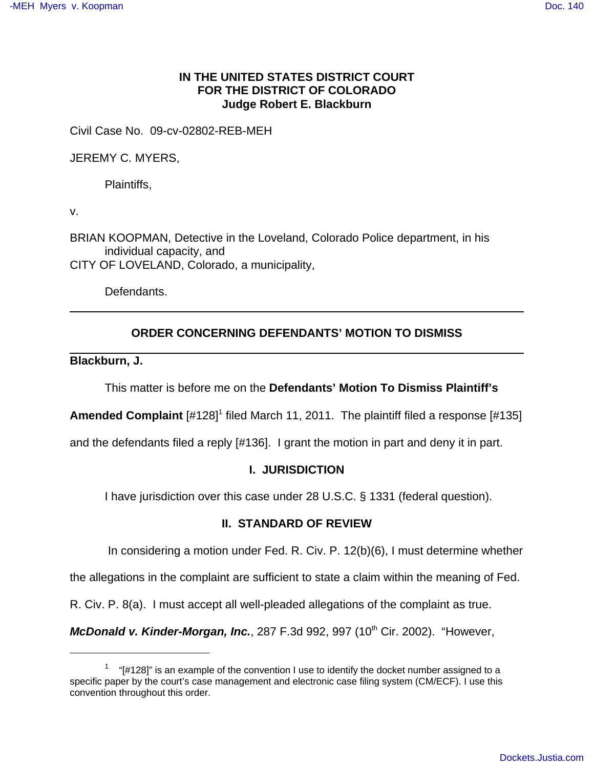# **IN THE UNITED STATES DISTRICT COURT FOR THE DISTRICT OF COLORADO Judge Robert E. Blackburn**

Civil Case No. 09-cv-02802-REB-MEH

JEREMY C. MYERS,

Plaintiffs,

v.

BRIAN KOOPMAN, Detective in the Loveland, Colorado Police department, in his individual capacity, and CITY OF LOVELAND, Colorado, a municipality,

Defendants.

# **ORDER CONCERNING DEFENDANTS' MOTION TO DISMISS**

### **Blackburn, J.**

This matter is before me on the **Defendants' Motion To Dismiss Plaintiff's**

Amended Complaint [#128]<sup>1</sup> filed March 11, 2011. The plaintiff filed a response [#135]

and the defendants filed a reply [#136]. I grant the motion in part and deny it in part.

## **I. JURISDICTION**

I have jurisdiction over this case under 28 U.S.C. § 1331 (federal question).

## **II. STANDARD OF REVIEW**

In considering a motion under Fed. R. Civ. P. 12(b)(6), I must determine whether

the allegations in the complaint are sufficient to state a claim within the meaning of Fed.

R. Civ. P. 8(a). I must accept all well-pleaded allegations of the complaint as true.

**McDonald v. Kinder-Morgan, Inc.**, 287 F.3d 992, 997 (10<sup>th</sup> Cir. 2002). "However,

 $1$  "[#128]" is an example of the convention I use to identify the docket number assigned to a specific paper by the court's case management and electronic case filing system (CM/ECF). I use this convention throughout this order.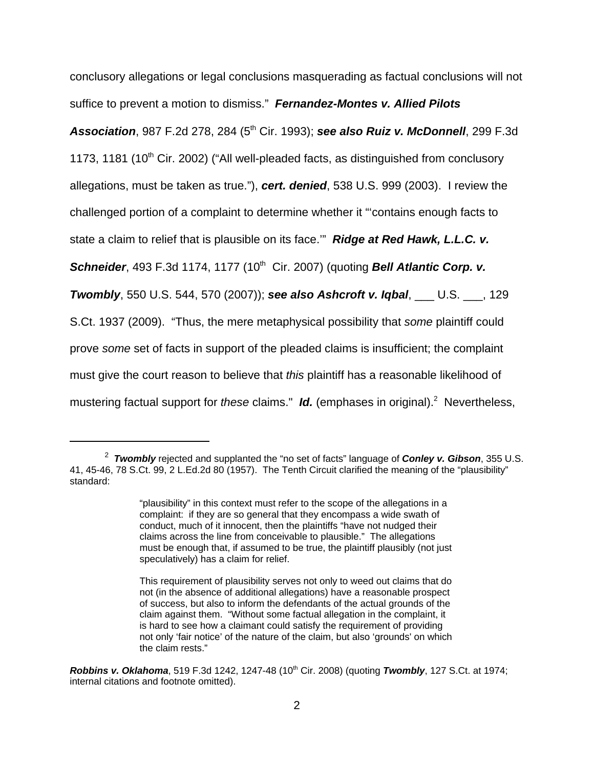conclusory allegations or legal conclusions masquerading as factual conclusions will not suffice to prevent a motion to dismiss." **Fernandez-Montes v. Allied Pilots**

**Association**, 987 F.2d 278, 284 (5<sup>th</sup> Cir. 1993); **see also Ruiz v. McDonnell**, 299 F.3d

1173, 1181 (10<sup>th</sup> Cir. 2002) ("All well-pleaded facts, as distinguished from conclusory

allegations, must be taken as true."), **cert. denied**, 538 U.S. 999 (2003). I review the

challenged portion of a complaint to determine whether it "'contains enough facts to

state a claim to relief that is plausible on its face.'" **Ridge at Red Hawk, L.L.C. v.**

**Schneider**, 493 F.3d 1174, 1177 (10<sup>th</sup> Cir. 2007) (quoting **Bell Atlantic Corp. v.** 

**Twombly**, 550 U.S. 544, 570 (2007)); **see also Ashcroft v. Iqbal**, \_\_\_ U.S. \_\_\_, 129

S.Ct. 1937 (2009). "Thus, the mere metaphysical possibility that some plaintiff could

prove some set of facts in support of the pleaded claims is insufficient; the complaint

must give the court reason to believe that this plaintiff has a reasonable likelihood of

mustering factual support for these claims." Id. (emphases in original).<sup>2</sup> Nevertheless,

<sup>2</sup> **Twombly** rejected and supplanted the "no set of facts" language of **Conley v. Gibson**, 355 U.S. 41, 45-46, 78 S.Ct. 99, 2 L.Ed.2d 80 (1957). The Tenth Circuit clarified the meaning of the "plausibility" standard:

<sup>&</sup>quot;plausibility" in this context must refer to the scope of the allegations in a complaint: if they are so general that they encompass a wide swath of conduct, much of it innocent, then the plaintiffs "have not nudged their claims across the line from conceivable to plausible." The allegations must be enough that, if assumed to be true, the plaintiff plausibly (not just speculatively) has a claim for relief.

This requirement of plausibility serves not only to weed out claims that do not (in the absence of additional allegations) have a reasonable prospect of success, but also to inform the defendants of the actual grounds of the claim against them. "Without some factual allegation in the complaint, it is hard to see how a claimant could satisfy the requirement of providing not only 'fair notice' of the nature of the claim, but also 'grounds' on which the claim rests."

**Robbins v. Oklahoma**, 519 F.3d 1242, 1247-48 (10<sup>th</sup> Cir. 2008) (quoting **Twombly**, 127 S.Ct. at 1974; internal citations and footnote omitted).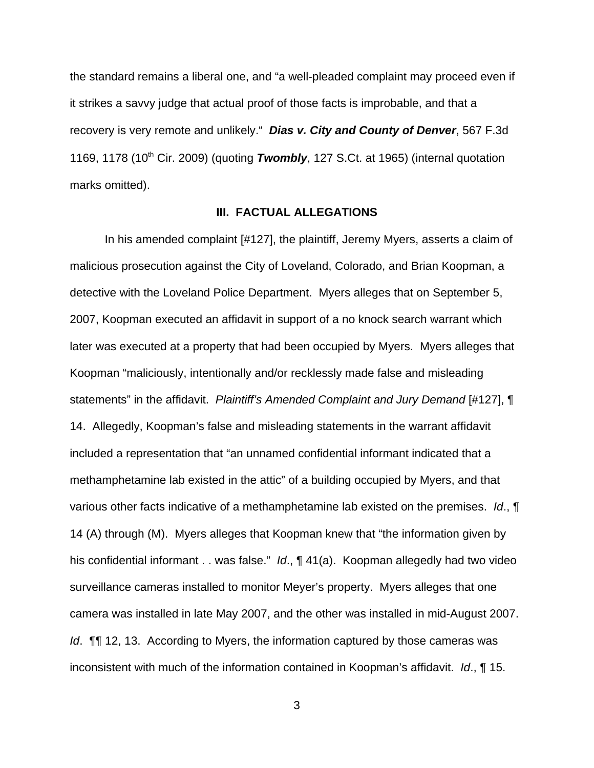the standard remains a liberal one, and "a well-pleaded complaint may proceed even if it strikes a savvy judge that actual proof of those facts is improbable, and that a recovery is very remote and unlikely." **Dias v. City and County of Denver**, 567 F.3d 1169, 1178 (10<sup>th</sup> Cir. 2009) (quoting **Twombly**, 127 S.Ct. at 1965) (internal quotation marks omitted).

### **III. FACTUAL ALLEGATIONS**

In his amended complaint [#127], the plaintiff, Jeremy Myers, asserts a claim of malicious prosecution against the City of Loveland, Colorado, and Brian Koopman, a detective with the Loveland Police Department. Myers alleges that on September 5, 2007, Koopman executed an affidavit in support of a no knock search warrant which later was executed at a property that had been occupied by Myers. Myers alleges that Koopman "maliciously, intentionally and/or recklessly made false and misleading statements" in the affidavit. Plaintiff's Amended Complaint and Jury Demand [#127], ¶ 14. Allegedly, Koopman's false and misleading statements in the warrant affidavit included a representation that "an unnamed confidential informant indicated that a methamphetamine lab existed in the attic" of a building occupied by Myers, and that various other facts indicative of a methamphetamine lab existed on the premises. Id., **[** 14 (A) through (M). Myers alleges that Koopman knew that "the information given by his confidential informant . . was false." Id., ¶ 41(a). Koopman allegedly had two video surveillance cameras installed to monitor Meyer's property. Myers alleges that one camera was installed in late May 2007, and the other was installed in mid-August 2007. Id. **[1]** 12, 13. According to Myers, the information captured by those cameras was inconsistent with much of the information contained in Koopman's affidavit. Id., ¶ 15.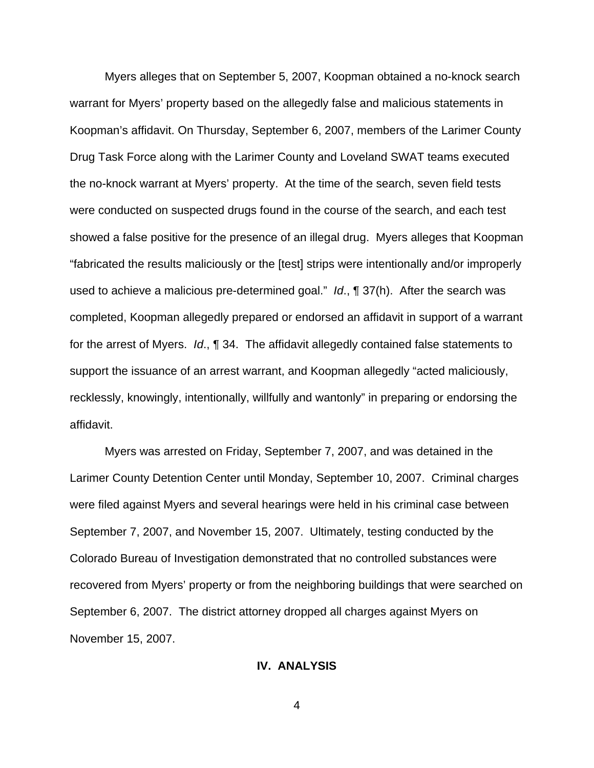Myers alleges that on September 5, 2007, Koopman obtained a no-knock search warrant for Myers' property based on the allegedly false and malicious statements in Koopman's affidavit. On Thursday, September 6, 2007, members of the Larimer County Drug Task Force along with the Larimer County and Loveland SWAT teams executed the no-knock warrant at Myers' property. At the time of the search, seven field tests were conducted on suspected drugs found in the course of the search, and each test showed a false positive for the presence of an illegal drug. Myers alleges that Koopman "fabricated the results maliciously or the [test] strips were intentionally and/or improperly used to achieve a malicious pre-determined goal." Id., ¶ 37(h). After the search was completed, Koopman allegedly prepared or endorsed an affidavit in support of a warrant for the arrest of Myers. Id., ¶ 34. The affidavit allegedly contained false statements to support the issuance of an arrest warrant, and Koopman allegedly "acted maliciously, recklessly, knowingly, intentionally, willfully and wantonly" in preparing or endorsing the affidavit.

Myers was arrested on Friday, September 7, 2007, and was detained in the Larimer County Detention Center until Monday, September 10, 2007. Criminal charges were filed against Myers and several hearings were held in his criminal case between September 7, 2007, and November 15, 2007. Ultimately, testing conducted by the Colorado Bureau of Investigation demonstrated that no controlled substances were recovered from Myers' property or from the neighboring buildings that were searched on September 6, 2007. The district attorney dropped all charges against Myers on November 15, 2007.

#### **IV. ANALYSIS**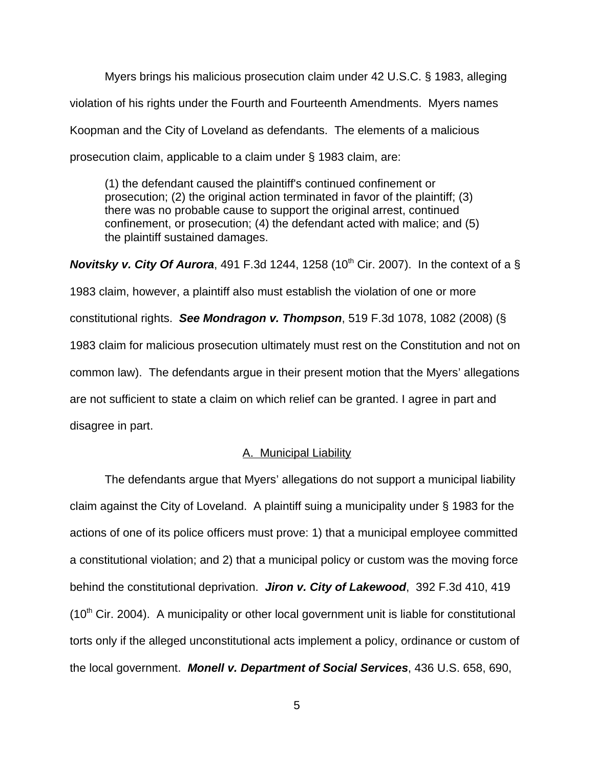Myers brings his malicious prosecution claim under 42 U.S.C. § 1983, alleging violation of his rights under the Fourth and Fourteenth Amendments. Myers names Koopman and the City of Loveland as defendants. The elements of a malicious prosecution claim, applicable to a claim under § 1983 claim, are:

(1) the defendant caused the plaintiff's continued confinement or prosecution; (2) the original action terminated in favor of the plaintiff; (3) there was no probable cause to support the original arrest, continued confinement, or prosecution; (4) the defendant acted with malice; and (5) the plaintiff sustained damages.

**Novitsky v. City Of Aurora**, 491 F.3d 1244, 1258 (10<sup>th</sup> Cir. 2007). In the context of a  $\S$ 1983 claim, however, a plaintiff also must establish the violation of one or more constitutional rights. **See Mondragon v. Thompson**, 519 F.3d 1078, 1082 (2008) (§ 1983 claim for malicious prosecution ultimately must rest on the Constitution and not on common law). The defendants argue in their present motion that the Myers' allegations are not sufficient to state a claim on which relief can be granted. I agree in part and disagree in part.

### A. Municipal Liability

The defendants argue that Myers' allegations do not support a municipal liability claim against the City of Loveland. A plaintiff suing a municipality under § 1983 for the actions of one of its police officers must prove: 1) that a municipal employee committed a constitutional violation; and 2) that a municipal policy or custom was the moving force behind the constitutional deprivation. **Jiron v. City of Lakewood**, 392 F.3d 410, 419  $(10<sup>th</sup>$  Cir. 2004). A municipality or other local government unit is liable for constitutional torts only if the alleged unconstitutional acts implement a policy, ordinance or custom of the local government. **Monell v. Department of Social Services**, 436 U.S. 658, 690,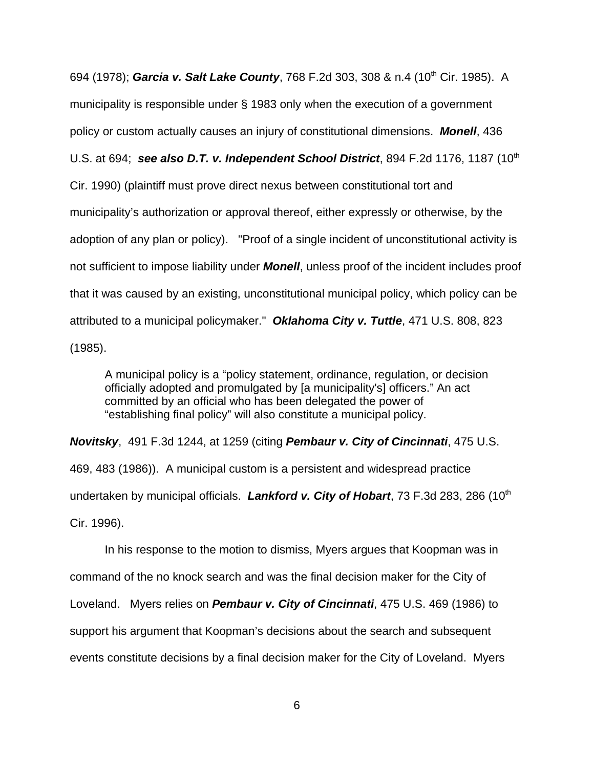694 (1978); **Garcia v. Salt Lake County**, 768 F.2d 303, 308 & n.4 (10<sup>th</sup> Cir. 1985). A municipality is responsible under § 1983 only when the execution of a government policy or custom actually causes an injury of constitutional dimensions. **Monell**, 436 U.S. at 694; **see also D.T. v. Independent School District**, 894 F.2d 1176, 1187 (10<sup>th</sup> Cir. 1990) (plaintiff must prove direct nexus between constitutional tort and municipality's authorization or approval thereof, either expressly or otherwise, by the adoption of any plan or policy). "Proof of a single incident of unconstitutional activity is not sufficient to impose liability under **Monell**, unless proof of the incident includes proof that it was caused by an existing, unconstitutional municipal policy, which policy can be attributed to a municipal policymaker." **Oklahoma City v. Tuttle**, 471 U.S. 808, 823 (1985).

A municipal policy is a "policy statement, ordinance, regulation, or decision officially adopted and promulgated by [a municipality's] officers." An act committed by an official who has been delegated the power of "establishing final policy" will also constitute a municipal policy.

**Novitsky**, 491 F.3d 1244, at 1259 (citing **Pembaur v. City of Cincinnati**, 475 U.S. 469, 483 (1986)). A municipal custom is a persistent and widespread practice undertaken by municipal officials. Lankford v. City of Hobart, 73 F.3d 283, 286 (10<sup>th</sup>) Cir. 1996).

In his response to the motion to dismiss, Myers argues that Koopman was in command of the no knock search and was the final decision maker for the City of Loveland. Myers relies on **Pembaur v. City of Cincinnati**, 475 U.S. 469 (1986) to support his argument that Koopman's decisions about the search and subsequent events constitute decisions by a final decision maker for the City of Loveland. Myers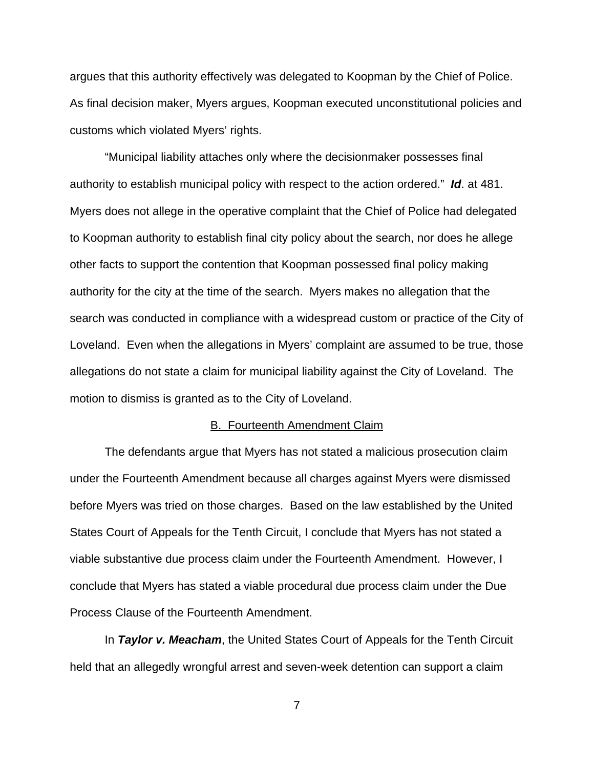argues that this authority effectively was delegated to Koopman by the Chief of Police. As final decision maker, Myers argues, Koopman executed unconstitutional policies and customs which violated Myers' rights.

"Municipal liability attaches only where the decisionmaker possesses final authority to establish municipal policy with respect to the action ordered." **Id**. at 481. Myers does not allege in the operative complaint that the Chief of Police had delegated to Koopman authority to establish final city policy about the search, nor does he allege other facts to support the contention that Koopman possessed final policy making authority for the city at the time of the search. Myers makes no allegation that the search was conducted in compliance with a widespread custom or practice of the City of Loveland. Even when the allegations in Myers' complaint are assumed to be true, those allegations do not state a claim for municipal liability against the City of Loveland. The motion to dismiss is granted as to the City of Loveland.

#### B. Fourteenth Amendment Claim

The defendants argue that Myers has not stated a malicious prosecution claim under the Fourteenth Amendment because all charges against Myers were dismissed before Myers was tried on those charges. Based on the law established by the United States Court of Appeals for the Tenth Circuit, I conclude that Myers has not stated a viable substantive due process claim under the Fourteenth Amendment. However, I conclude that Myers has stated a viable procedural due process claim under the Due Process Clause of the Fourteenth Amendment.

In **Taylor v. Meacham**, the United States Court of Appeals for the Tenth Circuit held that an allegedly wrongful arrest and seven-week detention can support a claim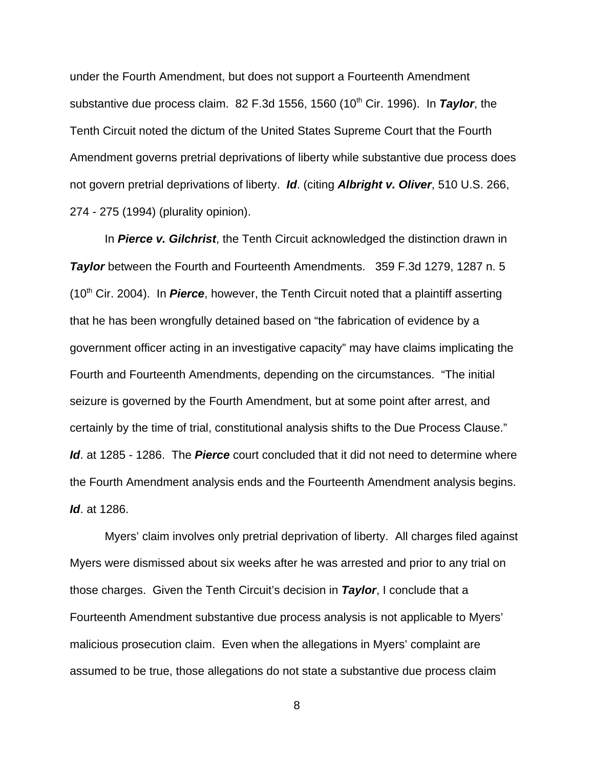under the Fourth Amendment, but does not support a Fourteenth Amendment substantive due process claim. 82 F.3d 1556, 1560 (10<sup>th</sup> Cir. 1996). In **Taylor**, the Tenth Circuit noted the dictum of the United States Supreme Court that the Fourth Amendment governs pretrial deprivations of liberty while substantive due process does not govern pretrial deprivations of liberty. **Id**. (citing **Albright v. Oliver**, 510 U.S. 266, 274 - 275 (1994) (plurality opinion).

In **Pierce v. Gilchrist**, the Tenth Circuit acknowledged the distinction drawn in **Taylor** between the Fourth and Fourteenth Amendments. 359 F.3d 1279, 1287 n. 5 (10th Cir. 2004). In **Pierce**, however, the Tenth Circuit noted that a plaintiff asserting that he has been wrongfully detained based on "the fabrication of evidence by a government officer acting in an investigative capacity" may have claims implicating the Fourth and Fourteenth Amendments, depending on the circumstances. "The initial seizure is governed by the Fourth Amendment, but at some point after arrest, and certainly by the time of trial, constitutional analysis shifts to the Due Process Clause." **Id**. at 1285 - 1286. The **Pierce** court concluded that it did not need to determine where the Fourth Amendment analysis ends and the Fourteenth Amendment analysis begins. **Id**. at 1286.

Myers' claim involves only pretrial deprivation of liberty. All charges filed against Myers were dismissed about six weeks after he was arrested and prior to any trial on those charges. Given the Tenth Circuit's decision in **Taylor**, I conclude that a Fourteenth Amendment substantive due process analysis is not applicable to Myers' malicious prosecution claim. Even when the allegations in Myers' complaint are assumed to be true, those allegations do not state a substantive due process claim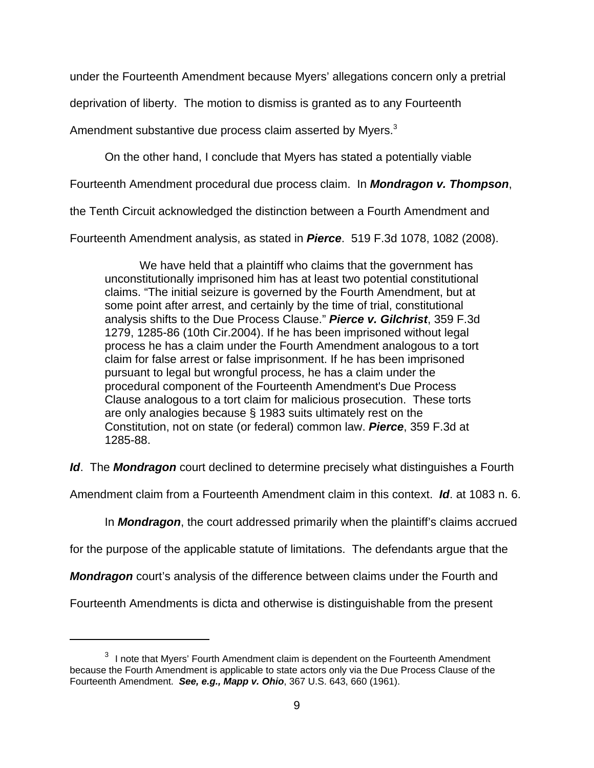under the Fourteenth Amendment because Myers' allegations concern only a pretrial

deprivation of liberty. The motion to dismiss is granted as to any Fourteenth

Amendment substantive due process claim asserted by Myers.<sup>3</sup>

On the other hand, I conclude that Myers has stated a potentially viable

Fourteenth Amendment procedural due process claim. In **Mondragon v. Thompson**,

the Tenth Circuit acknowledged the distinction between a Fourth Amendment and

Fourteenth Amendment analysis, as stated in **Pierce**. 519 F.3d 1078, 1082 (2008).

We have held that a plaintiff who claims that the government has unconstitutionally imprisoned him has at least two potential constitutional claims. "The initial seizure is governed by the Fourth Amendment, but at some point after arrest, and certainly by the time of trial, constitutional analysis shifts to the Due Process Clause." **Pierce v. Gilchrist**, 359 F.3d 1279, 1285-86 (10th Cir.2004). If he has been imprisoned without legal process he has a claim under the Fourth Amendment analogous to a tort claim for false arrest or false imprisonment. If he has been imprisoned pursuant to legal but wrongful process, he has a claim under the procedural component of the Fourteenth Amendment's Due Process Clause analogous to a tort claim for malicious prosecution. These torts are only analogies because § 1983 suits ultimately rest on the Constitution, not on state (or federal) common law. **Pierce**, 359 F.3d at 1285-88.

**Id**. The **Mondragon** court declined to determine precisely what distinguishes a Fourth

Amendment claim from a Fourteenth Amendment claim in this context. **Id**. at 1083 n. 6.

In **Mondragon**, the court addressed primarily when the plaintiff's claims accrued

for the purpose of the applicable statute of limitations. The defendants argue that the

**Mondragon** court's analysis of the difference between claims under the Fourth and

Fourteenth Amendments is dicta and otherwise is distinguishable from the present

 $3$  I note that Myers' Fourth Amendment claim is dependent on the Fourteenth Amendment because the Fourth Amendment is applicable to state actors only via the Due Process Clause of the Fourteenth Amendment. **See, e.g., Mapp v. Ohio**, 367 U.S. 643, 660 (1961).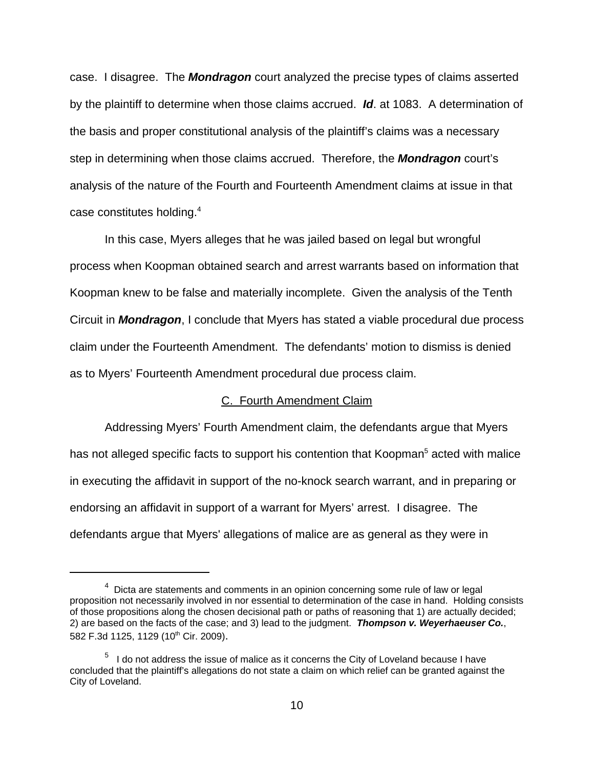case. I disagree. The **Mondragon** court analyzed the precise types of claims asserted by the plaintiff to determine when those claims accrued. **Id**. at 1083. A determination of the basis and proper constitutional analysis of the plaintiff's claims was a necessary step in determining when those claims accrued. Therefore, the **Mondragon** court's analysis of the nature of the Fourth and Fourteenth Amendment claims at issue in that case constitutes holding. $4$ 

In this case, Myers alleges that he was jailed based on legal but wrongful process when Koopman obtained search and arrest warrants based on information that Koopman knew to be false and materially incomplete. Given the analysis of the Tenth Circuit in **Mondragon**, I conclude that Myers has stated a viable procedural due process claim under the Fourteenth Amendment. The defendants' motion to dismiss is denied as to Myers' Fourteenth Amendment procedural due process claim.

#### C. Fourth Amendment Claim

Addressing Myers' Fourth Amendment claim, the defendants argue that Myers has not alleged specific facts to support his contention that Koopman<sup>5</sup> acted with malice in executing the affidavit in support of the no-knock search warrant, and in preparing or endorsing an affidavit in support of a warrant for Myers' arrest. I disagree. The defendants argue that Myers' allegations of malice are as general as they were in

 $4$  Dicta are statements and comments in an opinion concerning some rule of law or legal proposition not necessarily involved in nor essential to determination of the case in hand. Holding consists of those propositions along the chosen decisional path or paths of reasoning that 1) are actually decided; 2) are based on the facts of the case; and 3) lead to the judgment. **Thompson v. Weyerhaeuser Co.**, 582 F.3d 1125, 1129 (10<sup>th</sup> Cir. 2009).

 $<sup>5</sup>$  I do not address the issue of malice as it concerns the City of Loveland because I have</sup> concluded that the plaintiff's allegations do not state a claim on which relief can be granted against the City of Loveland.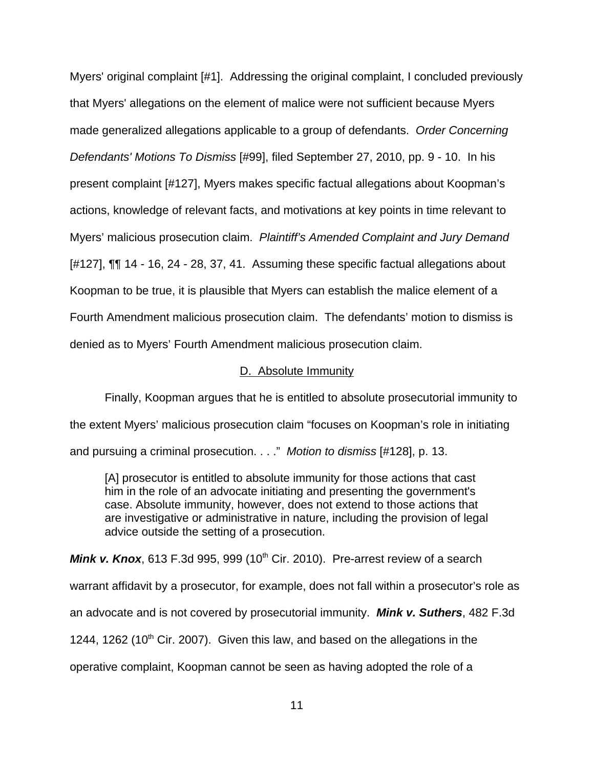Myers' original complaint [#1]. Addressing the original complaint, I concluded previously that Myers' allegations on the element of malice were not sufficient because Myers made generalized allegations applicable to a group of defendants. Order Concerning Defendants' Motions To Dismiss [#99], filed September 27, 2010, pp. 9 - 10. In his present complaint [#127], Myers makes specific factual allegations about Koopman's actions, knowledge of relevant facts, and motivations at key points in time relevant to Myers' malicious prosecution claim. Plaintiff's Amended Complaint and Jury Demand [#127], ¶¶ 14 - 16, 24 - 28, 37, 41. Assuming these specific factual allegations about Koopman to be true, it is plausible that Myers can establish the malice element of a Fourth Amendment malicious prosecution claim. The defendants' motion to dismiss is denied as to Myers' Fourth Amendment malicious prosecution claim.

#### D. Absolute Immunity

Finally, Koopman argues that he is entitled to absolute prosecutorial immunity to the extent Myers' malicious prosecution claim "focuses on Koopman's role in initiating and pursuing a criminal prosecution. . . ." Motion to dismiss [#128], p. 13.

[A] prosecutor is entitled to absolute immunity for those actions that cast him in the role of an advocate initiating and presenting the government's case. Absolute immunity, however, does not extend to those actions that are investigative or administrative in nature, including the provision of legal advice outside the setting of a prosecution.

**Mink v. Knox**, 613 F.3d 995, 999 (10<sup>th</sup> Cir. 2010). Pre-arrest review of a search warrant affidavit by a prosecutor, for example, does not fall within a prosecutor's role as an advocate and is not covered by prosecutorial immunity. **Mink v. Suthers**, 482 F.3d 1244, 1262 (10<sup>th</sup> Cir. 2007). Given this law, and based on the allegations in the operative complaint, Koopman cannot be seen as having adopted the role of a